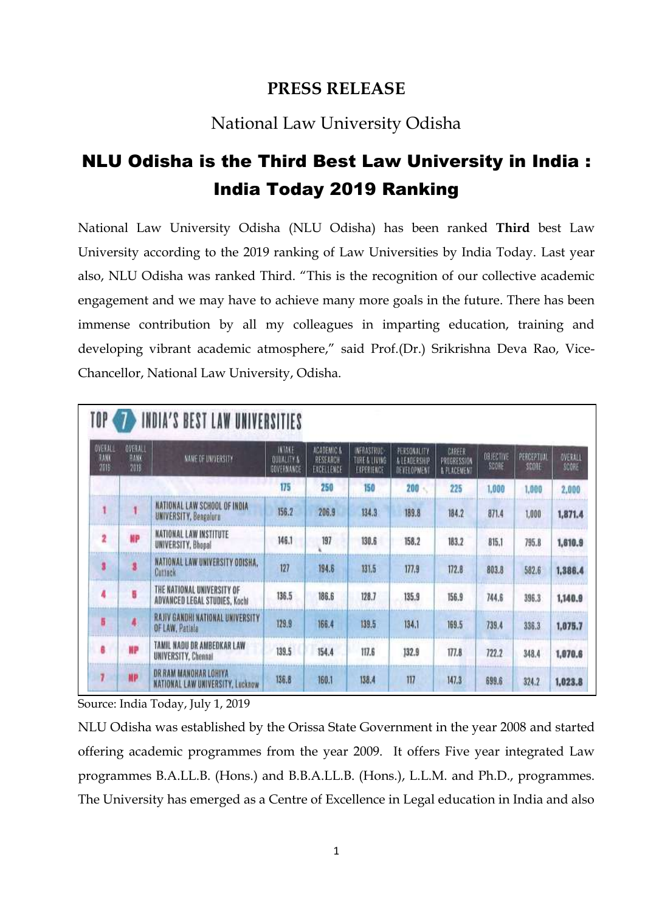## **PRESS RELEASE**

## National Law University Odisha

## NLU Odisha is the Third Best Law University in India : India Today 2019 Ranking

National Law University Odisha (NLU Odisha) has been ranked **Third** best Law University according to the 2019 ranking of Law Universities by India Today. Last year also, NLU Odisha was ranked Third. "This is the recognition of our collective academic engagement and we may have to achieve many more goals in the future. There has been immense contribution by all my colleagues in imparting education, training and developing vibrant academic atmosphere," said Prof.(Dr.) Srikrishna Deva Rao, Vice-Chancellor, National Law University, Odisha.

| <b>OVERALL</b><br><b>RANK</b><br>2019 | OVERALL<br><b>RANK</b><br>2116 | MAKE OF UNIVERSITY.                                              | INTAKE<br><b>OULILLEY'S</b><br>GOVERNANCE | ACADEMIC &<br>RESEARCH<br>EXCELLENCE | INFRASTRUC<br>TERE & LIVING<br>EXPERIENCE | PERSONALITY<br>A LEADERSHIP<br>OENELOPNENT | CAREER<br>PROBRESSION<br><b>A PLACEMENT</b> | OBJECTIVE<br>SCORE | PERCEPTUM<br>SCORE | OVERALL<br>SCORE |
|---------------------------------------|--------------------------------|------------------------------------------------------------------|-------------------------------------------|--------------------------------------|-------------------------------------------|--------------------------------------------|---------------------------------------------|--------------------|--------------------|------------------|
|                                       |                                |                                                                  | 175                                       | 250                                  | 150                                       | 200                                        | 225                                         | 1,000              | 1,000              | 2,000            |
|                                       |                                | NATIONAL LAW SCHOOL OF INDIA<br><b>UNIVERSITY, Bengaluru</b>     | 156.2                                     | 206.9                                | 134.3                                     | 189.8                                      | 184.2                                       | 871.4              | 1,000              | 1,871.4          |
| 2                                     | NР                             | NATIONAL LAW INSTITUTE<br>UNIVERSITY, Bhopad                     | 146.1                                     | 197                                  | 130.6                                     | 158.2                                      | 183.2                                       | 815.1              | 795.8              | 1,610.9          |
| 3                                     |                                | NATIONAL LAW UNIVERSITY ODISHA,<br>Cuttack                       | 127                                       | 194.6                                | 131.5                                     | 177.9                                      | 172.8                                       | 803.8              | 582.6              | 1,386.4          |
| 4                                     | 6                              | THE NATIONAL UNIVERSITY OF<br>ADVANCED LEGAL STUDIES, Kochi      | 136.5                                     | 186.6                                | 128.7                                     | 135.9                                      | 156.9                                       | 744.6              | 396.3              | 1,140.9          |
| 5                                     |                                | RAJIV GANDHI NATIONAL UNIVERSITY<br>OF LAW, Patiala              | 129.9                                     | 166.4                                | 139.5                                     | 134.1                                      | 169.5                                       | 739.4              | 336.3              | 1,075.7          |
| 8                                     | ĦР                             | TAMIL NADU DR AMBEDKAR LAW<br>UNIVERSITY, Chennal                | 139.5                                     | 154.4                                | 117.6                                     | 132.9                                      | 177.8                                       | 722.2              | 348.4              | 1,070.6          |
| ,                                     | HP                             | <b>DR RAM MANOHAR LOHIYA</b><br>NATIONAL LAW UNIVERSITY, Lucknow | 136.8                                     | 160.1                                | 138.4                                     | 117                                        | 147.3                                       | 699.6              | 324.2              | 1,023.8          |

Source: India Today, July 1, 2019

NLU Odisha was established by the Orissa State Government in the year 2008 and started offering academic programmes from the year 2009. It offers Five year integrated Law programmes B.A.LL.B. (Hons.) and B.B.A.LL.B. (Hons.), L.L.M. and Ph.D., programmes. The University has emerged as a Centre of Excellence in Legal education in India and also